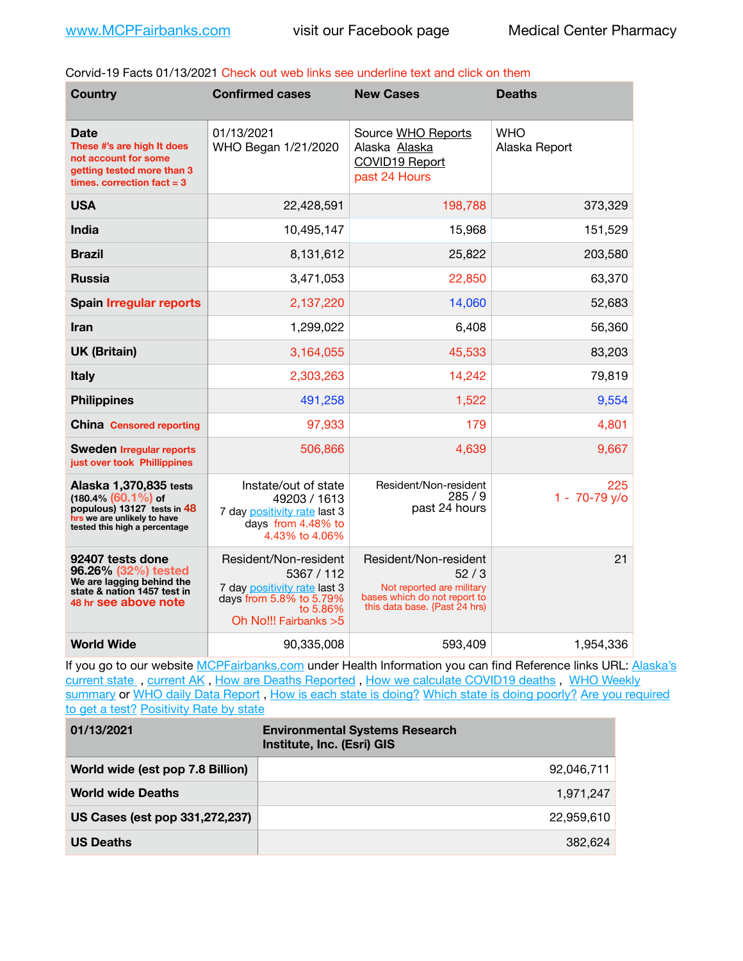Corvid-19 Facts 01/13/2021 Check out web links see underline text and click on them

| <b>Country</b>                                                                                                                                  | <b>Confirmed cases</b>                                                                                                               | <b>New Cases</b>                                                                                                            | <b>Deaths</b>               |
|-------------------------------------------------------------------------------------------------------------------------------------------------|--------------------------------------------------------------------------------------------------------------------------------------|-----------------------------------------------------------------------------------------------------------------------------|-----------------------------|
| Date<br>These #'s are high It does<br>not account for some<br>getting tested more than 3<br>times, correction fact $=$ 3                        | 01/13/2021<br>WHO Began 1/21/2020                                                                                                    | Source WHO Reports<br>Alaska Alaska<br>COVID19 Report<br>past 24 Hours                                                      | <b>WHO</b><br>Alaska Report |
| <b>USA</b>                                                                                                                                      | 22,428,591                                                                                                                           | 198,788                                                                                                                     | 373,329                     |
| <b>India</b>                                                                                                                                    | 10,495,147                                                                                                                           | 15,968                                                                                                                      | 151,529                     |
| <b>Brazil</b>                                                                                                                                   | 8,131,612                                                                                                                            | 25,822                                                                                                                      | 203,580                     |
| <b>Russia</b>                                                                                                                                   | 3,471,053                                                                                                                            | 22,850                                                                                                                      | 63,370                      |
| <b>Spain Irregular reports</b>                                                                                                                  | 2,137,220                                                                                                                            | 14,060                                                                                                                      | 52,683                      |
| <b>Iran</b>                                                                                                                                     | 1,299,022                                                                                                                            | 6,408                                                                                                                       | 56,360                      |
| <b>UK (Britain)</b>                                                                                                                             | 3,164,055                                                                                                                            | 45,533                                                                                                                      | 83,203                      |
| <b>Italy</b>                                                                                                                                    | 2,303,263                                                                                                                            | 14,242                                                                                                                      | 79,819                      |
| <b>Philippines</b>                                                                                                                              | 491,258                                                                                                                              | 1,522                                                                                                                       | 9,554                       |
| <b>China Censored reporting</b>                                                                                                                 | 97,933                                                                                                                               | 179                                                                                                                         | 4,801                       |
| <b>Sweden Irregular reports</b><br>just over took Phillippines                                                                                  | 506,866                                                                                                                              | 4,639                                                                                                                       | 9,667                       |
| Alaska 1,370,835 tests<br>$(180.4\%)(60.1\%)$ of<br>populous) 13127 tests in 48<br>hrs we are unlikely to have<br>tested this high a percentage | Instate/out of state<br>49203 / 1613<br>7 day positivity rate last 3<br>days from 4.48% to<br>4.43% to 4.06%                         | Resident/Non-resident<br>285/9<br>past 24 hours                                                                             | 225<br>1 - 70-79 y/o        |
| 92407 tests done<br>96.26% (32%) tested<br>We are lagging behind the<br>state & nation 1457 test in<br>48 hr see above note                     | Resident/Non-resident<br>5367 / 112<br>7 day positivity rate last 3<br>days from 5.8% to 5.79%<br>to 5.86%<br>Oh No!!! Fairbanks > 5 | Resident/Non-resident<br>52/3<br>Not reported are military<br>bases which do not report to<br>this data base. {Past 24 hrs) | 21                          |
| <b>World Wide</b>                                                                                                                               | 90,335,008                                                                                                                           | 593,409                                                                                                                     | 1,954,336                   |

If you go to our website [MCPFairbanks.com](http://www.MCPFairbanks.com) under Health Information you can find Reference links URL: Alaska's current state, current AK, [How are Deaths Reported](http://dhss.alaska.gov/dph/Epi/id/Pages/COVID-19/deathcounts.aspx), [How we calculate COVID19 deaths](https://coronavirus-response-alaska-dhss.hub.arcgis.com/search?collection=Document&groupIds=41ccb3344ebc4bd682c74073eba21f42), WHO Weekly [summary](http://www.who.int) or [WHO daily Data Report](https://covid19.who.int/table), [How is each state is doing?](https://www.msn.com/en-us/news/us/state-by-state-coronavirus-news/ar-BB13E1PX?fbclid=IwAR0_OBJH7lSyTN3ug_MsOeFnNgB1orTa9OBgilKJ7dhnwlVvHEsptuKkj1c) [Which state is doing poorly?](https://bestlifeonline.com/covid-outbreak-your-state/?utm_source=nsltr&utm_medium=email&utm_content=covid-outbreak-your-state&utm_campaign=launch) Are you required [to get a test?](http://dhss.alaska.gov/dph/Epi/id/SiteAssets/Pages/HumanCoV/Whattodoafteryourtest.pdf) [Positivity Rate by state](https://coronavirus.jhu.edu/testing/individual-states/alaska)

| 01/13/2021                       | <b>Environmental Systems Research</b><br>Institute, Inc. (Esri) GIS |
|----------------------------------|---------------------------------------------------------------------|
| World wide (est pop 7.8 Billion) | 92,046,711                                                          |
| <b>World wide Deaths</b>         | 1.971.247                                                           |
| US Cases (est pop 331,272,237)   | 22.959.610                                                          |
| <b>US Deaths</b>                 | 382.624                                                             |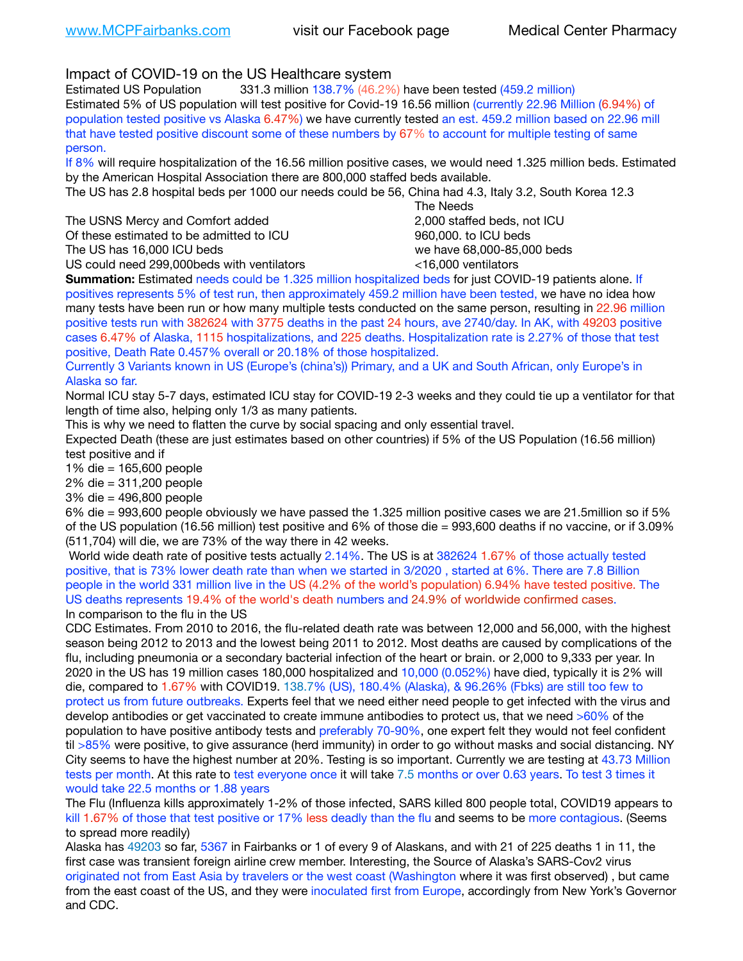Impact of COVID-19 on the US Healthcare system

Estimated US Population 331.3 million 138.7% (46.2%) have been tested (459.2 million) Estimated 5% of US population will test positive for Covid-19 16.56 million (currently 22.96 Million (6.94%) of population tested positive vs Alaska 6.47%) we have currently tested an est. 459.2 million based on 22.96 mill that have tested positive discount some of these numbers by 67% to account for multiple testing of same person.

If 8% will require hospitalization of the 16.56 million positive cases, we would need 1.325 million beds. Estimated by the American Hospital Association there are 800,000 staffed beds available.

The US has 2.8 hospital beds per 1000 our needs could be 56, China had 4.3, Italy 3.2, South Korea 12.3

The USNS Mercy and Comfort added **8.2000** staffed beds, not ICU Of these estimated to be admitted to ICU 860,000. to ICU beds The US has 16,000 ICU beds we have 68,000-85,000 beds

 The Needs US could need 299,000beds with ventilators <16,000 ventilators

**Summation:** Estimated needs could be 1.325 million hospitalized beds for just COVID-19 patients alone. If positives represents 5% of test run, then approximately 459.2 million have been tested, we have no idea how many tests have been run or how many multiple tests conducted on the same person, resulting in 22.96 million positive tests run with 382624 with 3775 deaths in the past 24 hours, ave 2740/day. In AK, with 49203 positive cases 6.47% of Alaska, 1115 hospitalizations, and 225 deaths. Hospitalization rate is 2.27% of those that test positive, Death Rate 0.457% overall or 20.18% of those hospitalized.

Currently 3 Variants known in US (Europe's (china's)) Primary, and a UK and South African, only Europe's in Alaska so far.

Normal ICU stay 5-7 days, estimated ICU stay for COVID-19 2-3 weeks and they could tie up a ventilator for that length of time also, helping only 1/3 as many patients.

This is why we need to flatten the curve by social spacing and only essential travel.

Expected Death (these are just estimates based on other countries) if 5% of the US Population (16.56 million) test positive and if

1% die = 165,600 people

2% die = 311,200 people

3% die = 496,800 people

6% die = 993,600 people obviously we have passed the 1.325 million positive cases we are 21.5million so if 5% of the US population (16.56 million) test positive and 6% of those die = 993,600 deaths if no vaccine, or if 3.09% (511,704) will die, we are 73% of the way there in 42 weeks.

 World wide death rate of positive tests actually 2.14%. The US is at 382624 1.67% of those actually tested positive, that is 73% lower death rate than when we started in 3/2020 , started at 6%. There are 7.8 Billion people in the world 331 million live in the US (4.2% of the world's population) 6.94% have tested positive. The US deaths represents 19.4% of the world's death numbers and 24.9% of worldwide confirmed cases. In comparison to the flu in the US

CDC Estimates. From 2010 to 2016, the flu-related death rate was between 12,000 and 56,000, with the highest season being 2012 to 2013 and the lowest being 2011 to 2012. Most deaths are caused by complications of the flu, including pneumonia or a secondary bacterial infection of the heart or brain. or 2,000 to 9,333 per year. In 2020 in the US has 19 million cases 180,000 hospitalized and 10,000 (0.052%) have died, typically it is 2% will die, compared to 1.67% with COVID19. 138.7% (US), 180.4% (Alaska), & 96.26% (Fbks) are still too few to protect us from future outbreaks. Experts feel that we need either need people to get infected with the virus and develop antibodies or get vaccinated to create immune antibodies to protect us, that we need >60% of the population to have positive antibody tests and preferably 70-90%, one expert felt they would not feel confident til >85% were positive, to give assurance (herd immunity) in order to go without masks and social distancing. NY City seems to have the highest number at 20%. Testing is so important. Currently we are testing at 43.73 Million tests per month. At this rate to test everyone once it will take 7.5 months or over 0.63 years. To test 3 times it would take 22.5 months or 1.88 years

The Flu (Influenza kills approximately 1-2% of those infected, SARS killed 800 people total, COVID19 appears to kill 1.67% of those that test positive or 17% less deadly than the flu and seems to be more contagious. (Seems to spread more readily)

Alaska has 49203 so far, 5367 in Fairbanks or 1 of every 9 of Alaskans, and with 21 of 225 deaths 1 in 11, the first case was transient foreign airline crew member. Interesting, the Source of Alaska's SARS-Cov2 virus originated not from East Asia by travelers or the west coast (Washington where it was first observed) , but came from the east coast of the US, and they were inoculated first from Europe, accordingly from New York's Governor and CDC.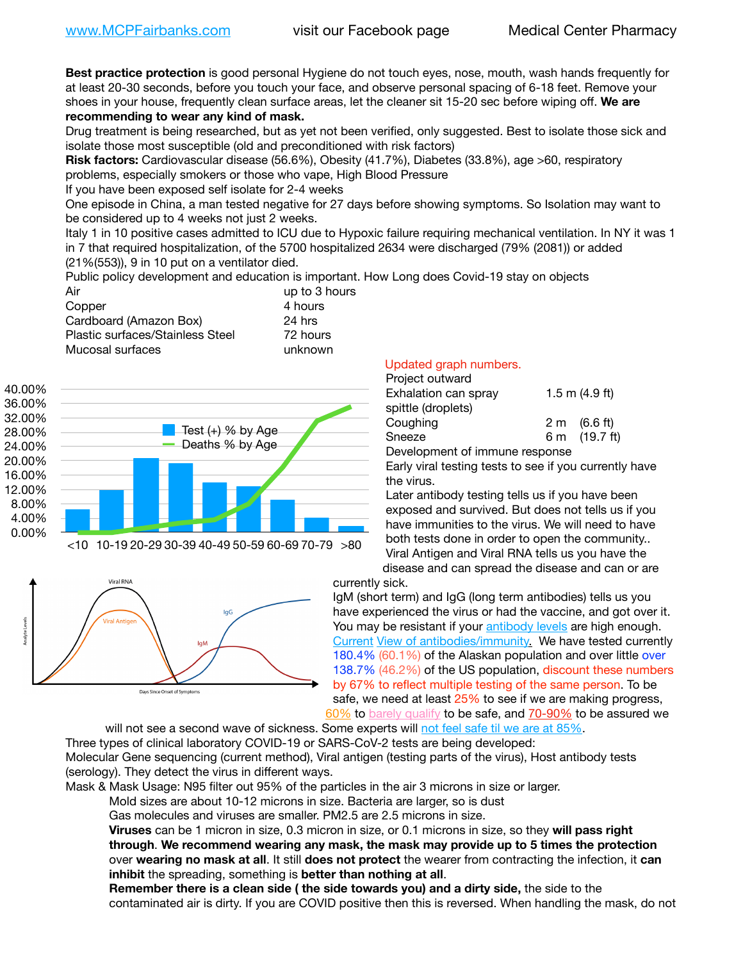**Best practice protection** is good personal Hygiene do not touch eyes, nose, mouth, wash hands frequently for at least 20-30 seconds, before you touch your face, and observe personal spacing of 6-18 feet. Remove your shoes in your house, frequently clean surface areas, let the cleaner sit 15-20 sec before wiping off. **We are recommending to wear any kind of mask.**

Drug treatment is being researched, but as yet not been verified, only suggested. Best to isolate those sick and isolate those most susceptible (old and preconditioned with risk factors)

**Risk factors:** Cardiovascular disease (56.6%), Obesity (41.7%), Diabetes (33.8%), age >60, respiratory problems, especially smokers or those who vape, High Blood Pressure

If you have been exposed self isolate for 2-4 weeks

One episode in China, a man tested negative for 27 days before showing symptoms. So Isolation may want to be considered up to 4 weeks not just 2 weeks.

Italy 1 in 10 positive cases admitted to ICU due to Hypoxic failure requiring mechanical ventilation. In NY it was 1 in 7 that required hospitalization, of the 5700 hospitalized 2634 were discharged (79% (2081)) or added (21%(553)), 9 in 10 put on a ventilator died.

Public policy development and education is important. How Long does Covid-19 stay on objects

| up to 3 hours |
|---------------|
| 4 hours       |
| 24 hrs        |
| 72 hours      |
| unknown       |
|               |



## <10 10-19 20-29 30-39 40-49 50-59 60-69 70-79 >80



## Updated graph numbers.

| Project outward                |                  |
|--------------------------------|------------------|
| Exhalation can spray           | 1.5 m $(4.9$ ft) |
| spittle (droplets)             |                  |
| Coughing                       | 2 m (6.6 ft)     |
| Sneeze                         | 6 m (19.7 ft)    |
| Development of immune response |                  |

Early viral testing tests to see if you currently have the virus.

Later antibody testing tells us if you have been exposed and survived. But does not tells us if you have immunities to the virus. We will need to have both tests done in order to open the community.. Viral Antigen and Viral RNA tells us you have the disease and can spread the disease and can or are

currently sick.

IgM (short term) and IgG (long term antibodies) tells us you have experienced the virus or had the vaccine, and got over it. You may be resistant if your [antibody levels](https://www.cdc.gov/coronavirus/2019-ncov/lab/resources/antibody-tests.html) are high enough. [Current](https://l.facebook.com/l.php?u=https://www.itv.com/news/2020-10-26/covid-19-antibody-levels-reduce-over-time-study-finds?fbclid=IwAR3Dapzh1qIH1EIOdUQI2y8THf7jfA4KBCaJz8Qg-8xe1YsrR4nsAHDIXSY&h=AT30nut8pkqp0heVuz5W2rT2WFFm-2Ab52BsJxZZCNlGsX58IpPkuVEPULbIUV_M16MAukx1Kwb657DPXxsgDN1rpOQ4gqBtQsmVYiWpnHPJo2RQsU6CPMd14lgLnQnFWxfVi6zvmw&__tn__=-UK-R&c%5B0%5D=AT1GaRAfR_nGAyqcn7TI1-PpvqOqEKXHnz6TDWvRStMnOSH7boQDvTiwTOc6VId9UES6LKiOmm2m88wKCoolkJyOFvakt2Z1Mw8toYWGGoWW23r0MNVBl7cYJXB_UOvGklNHaNnaNr1_S7NhT3BSykNOBg) [View of antibodies/immunity](https://www.livescience.com/antibodies.html)[.](https://www.itv.com/news/2020-10-26/covid-19-antibody-levels-reduce-over-time-study-finds) We have tested currently 180.4% (60.1%) of the Alaskan population and over little over 138.7% (46.2%) of the US population, discount these numbers by 67% to reflect multiple testing of the same person. To be safe, we need at least 25% to see if we are making progress, [60%](https://www.jhsph.edu/covid-19/articles/achieving-herd-immunity-with-covid19.html) to [barely qualify](https://www.nature.com/articles/d41586-020-02948-4) to be safe, and [70-90%](https://www.mayoclinic.org/herd-immunity-and-coronavirus/art-20486808) to be assured we

will not see a second wave of sickness. Some experts will [not feel safe til we are at 85%.](https://www.bannerhealth.com/healthcareblog/teach-me/what-is-herd-immunity) Three types of clinical laboratory COVID-19 or SARS-CoV-2 tests are being developed: Molecular Gene sequencing (current method), Viral antigen (testing parts of the virus), Host antibody tests (serology). They detect the virus in different ways.

Mask & Mask Usage: N95 filter out 95% of the particles in the air 3 microns in size or larger.

Mold sizes are about 10-12 microns in size. Bacteria are larger, so is dust

Gas molecules and viruses are smaller. PM2.5 are 2.5 microns in size.

**Viruses** can be 1 micron in size, 0.3 micron in size, or 0.1 microns in size, so they **will pass right through**. **We recommend wearing any mask, the mask may provide up to 5 times the protection** over **wearing no mask at all**. It still **does not protect** the wearer from contracting the infection, it **can inhibit** the spreading, something is **better than nothing at all**.

**Remember there is a clean side ( the side towards you) and a dirty side,** the side to the contaminated air is dirty. If you are COVID positive then this is reversed. When handling the mask, do not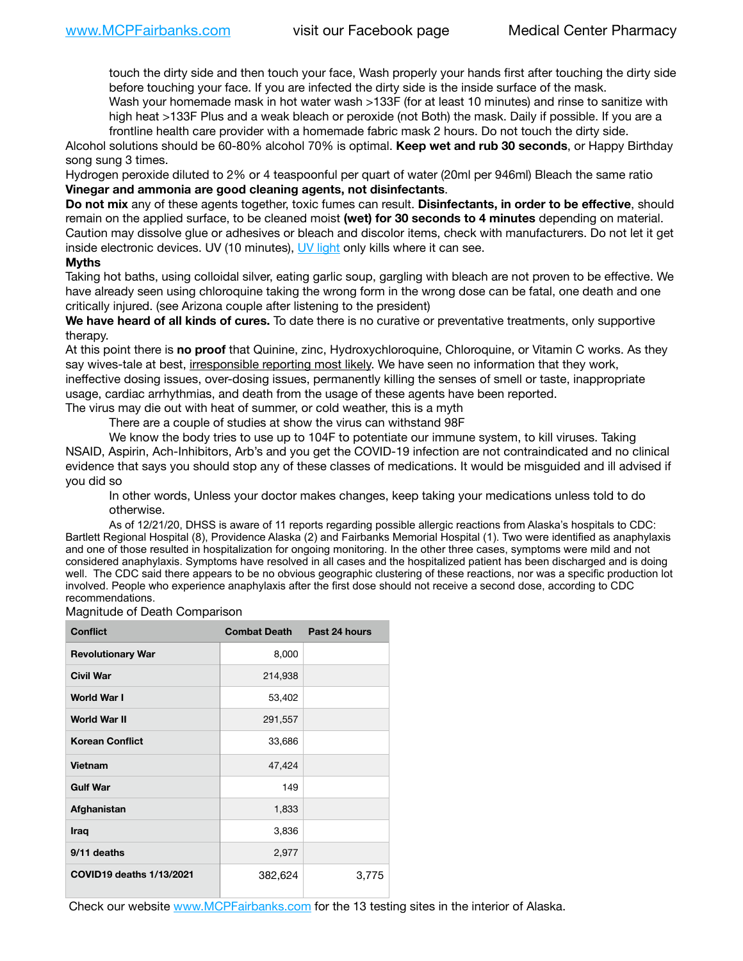touch the dirty side and then touch your face, Wash properly your hands first after touching the dirty side before touching your face. If you are infected the dirty side is the inside surface of the mask.

Wash your homemade mask in hot water wash >133F (for at least 10 minutes) and rinse to sanitize with high heat >133F Plus and a weak bleach or peroxide (not Both) the mask. Daily if possible. If you are a frontline health care provider with a homemade fabric mask 2 hours. Do not touch the dirty side.

Alcohol solutions should be 60-80% alcohol 70% is optimal. **Keep wet and rub 30 seconds**, or Happy Birthday song sung 3 times.

Hydrogen peroxide diluted to 2% or 4 teaspoonful per quart of water (20ml per 946ml) Bleach the same ratio **Vinegar and ammonia are good cleaning agents, not disinfectants**.

**Do not mix** any of these agents together, toxic fumes can result. **Disinfectants, in order to be effective**, should remain on the applied surface, to be cleaned moist **(wet) for 30 seconds to 4 minutes** depending on material. Caution may dissolve glue or adhesives or bleach and discolor items, check with manufacturers. Do not let it get inside electronic devices. UV (10 minutes), [UV light](http://www.docreviews.me/best-uv-boxes-2020/?fbclid=IwAR3bvFtXB48OoBBSvYvTEnKuHNPbipxM6jUo82QUSw9wckxjC7wwRZWabGw) only kills where it can see.

## **Myths**

Taking hot baths, using colloidal silver, eating garlic soup, gargling with bleach are not proven to be effective. We have already seen using chloroquine taking the wrong form in the wrong dose can be fatal, one death and one critically injured. (see Arizona couple after listening to the president)

**We have heard of all kinds of cures.** To date there is no curative or preventative treatments, only supportive therapy.

At this point there is **no proof** that Quinine, zinc, Hydroxychloroquine, Chloroquine, or Vitamin C works. As they say wives-tale at best, irresponsible reporting most likely. We have seen no information that they work, ineffective dosing issues, over-dosing issues, permanently killing the senses of smell or taste, inappropriate usage, cardiac arrhythmias, and death from the usage of these agents have been reported. The virus may die out with heat of summer, or cold weather, this is a myth

There are a couple of studies at show the virus can withstand 98F

We know the body tries to use up to 104F to potentiate our immune system, to kill viruses. Taking NSAID, Aspirin, Ach-Inhibitors, Arb's and you get the COVID-19 infection are not contraindicated and no clinical evidence that says you should stop any of these classes of medications. It would be misguided and ill advised if you did so

In other words, Unless your doctor makes changes, keep taking your medications unless told to do otherwise.

As of 12/21/20, DHSS is aware of 11 reports regarding possible allergic reactions from Alaska's hospitals to CDC: Bartlett Regional Hospital (8), Providence Alaska (2) and Fairbanks Memorial Hospital (1). Two were identified as anaphylaxis and one of those resulted in hospitalization for ongoing monitoring. In the other three cases, symptoms were mild and not considered anaphylaxis. Symptoms have resolved in all cases and the hospitalized patient has been discharged and is doing well. The CDC said there appears to be no obvious geographic clustering of these reactions, nor was a specific production lot involved. People who experience anaphylaxis after the first dose should not receive a second dose, according to CDC recommendations.

Magnitude of Death Comparison

| <b>Conflict</b>          | <b>Combat Death</b> | Past 24 hours |
|--------------------------|---------------------|---------------|
| <b>Revolutionary War</b> | 8,000               |               |
| <b>Civil War</b>         | 214,938             |               |
| World War I              | 53,402              |               |
| World War II             | 291,557             |               |
| <b>Korean Conflict</b>   | 33,686              |               |
| Vietnam                  | 47,424              |               |
| <b>Gulf War</b>          | 149                 |               |
| Afghanistan              | 1,833               |               |
| <b>Iraq</b>              | 3,836               |               |
| 9/11 deaths              | 2,977               |               |
| COVID19 deaths 1/13/2021 | 382,624             | 3,775         |

Check our website [www.MCPFairbanks.com](http://www.MCPFairbanks.com) for the 13 testing sites in the interior of Alaska.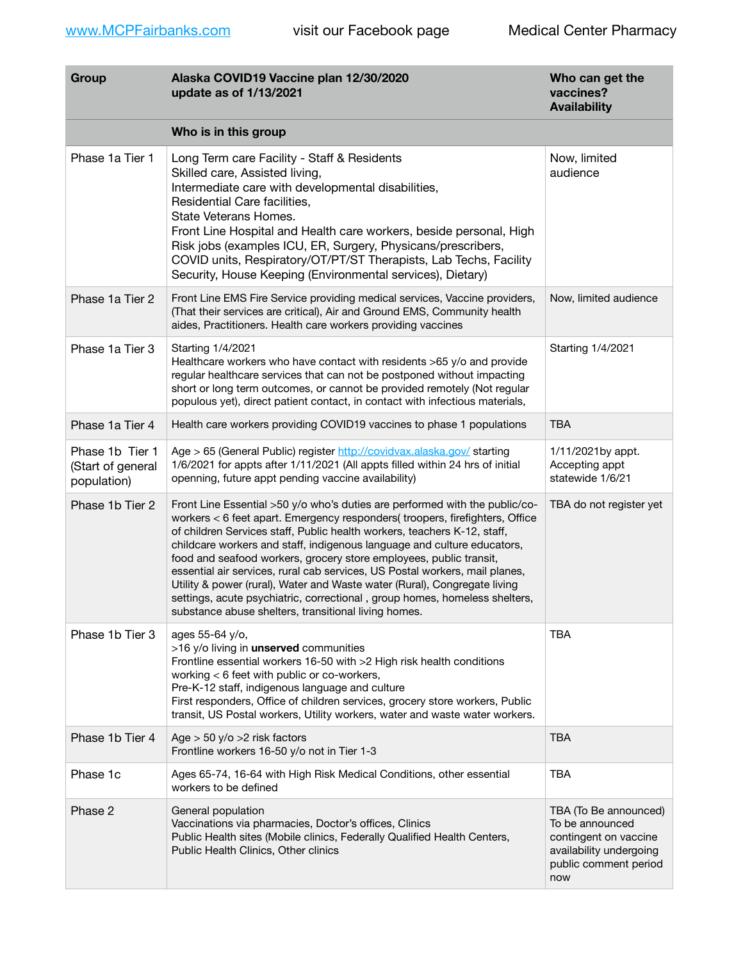| Group                                               | Alaska COVID19 Vaccine plan 12/30/2020<br>update as of 1/13/2021                                                                                                                                                                                                                                                                                                                                                                                                                                                                                                                                                                                                                           | Who can get the<br>vaccines?<br><b>Availability</b>                                                                          |
|-----------------------------------------------------|--------------------------------------------------------------------------------------------------------------------------------------------------------------------------------------------------------------------------------------------------------------------------------------------------------------------------------------------------------------------------------------------------------------------------------------------------------------------------------------------------------------------------------------------------------------------------------------------------------------------------------------------------------------------------------------------|------------------------------------------------------------------------------------------------------------------------------|
|                                                     | Who is in this group                                                                                                                                                                                                                                                                                                                                                                                                                                                                                                                                                                                                                                                                       |                                                                                                                              |
| Phase 1a Tier 1                                     | Long Term care Facility - Staff & Residents<br>Skilled care, Assisted living,<br>Intermediate care with developmental disabilities,<br>Residential Care facilities,<br>State Veterans Homes.<br>Front Line Hospital and Health care workers, beside personal, High<br>Risk jobs (examples ICU, ER, Surgery, Physicans/prescribers,<br>COVID units, Respiratory/OT/PT/ST Therapists, Lab Techs, Facility<br>Security, House Keeping (Environmental services), Dietary)                                                                                                                                                                                                                      | Now, limited<br>audience                                                                                                     |
| Phase 1a Tier 2                                     | Front Line EMS Fire Service providing medical services, Vaccine providers,<br>(That their services are critical), Air and Ground EMS, Community health<br>aides, Practitioners. Health care workers providing vaccines                                                                                                                                                                                                                                                                                                                                                                                                                                                                     | Now, limited audience                                                                                                        |
| Phase 1a Tier 3                                     | Starting 1/4/2021<br>Healthcare workers who have contact with residents >65 y/o and provide<br>regular healthcare services that can not be postponed without impacting<br>short or long term outcomes, or cannot be provided remotely (Not regular<br>populous yet), direct patient contact, in contact with infectious materials,                                                                                                                                                                                                                                                                                                                                                         | Starting 1/4/2021                                                                                                            |
| Phase 1a Tier 4                                     | Health care workers providing COVID19 vaccines to phase 1 populations                                                                                                                                                                                                                                                                                                                                                                                                                                                                                                                                                                                                                      | <b>TBA</b>                                                                                                                   |
| Phase 1b Tier 1<br>(Start of general<br>population) | Age > 65 (General Public) register http://covidvax.alaska.gov/ starting<br>1/6/2021 for appts after 1/11/2021 (All appts filled within 24 hrs of initial<br>openning, future appt pending vaccine availability)                                                                                                                                                                                                                                                                                                                                                                                                                                                                            | 1/11/2021by appt.<br>Accepting appt<br>statewide 1/6/21                                                                      |
| Phase 1b Tier 2                                     | Front Line Essential >50 y/o who's duties are performed with the public/co-<br>workers < 6 feet apart. Emergency responders( troopers, firefighters, Office<br>of children Services staff, Public health workers, teachers K-12, staff,<br>childcare workers and staff, indigenous language and culture educators,<br>food and seafood workers, grocery store employees, public transit,<br>essential air services, rural cab services, US Postal workers, mail planes,<br>Utility & power (rural), Water and Waste water (Rural), Congregate living<br>settings, acute psychiatric, correctional, group homes, homeless shelters,<br>substance abuse shelters, transitional living homes. | TBA do not register yet                                                                                                      |
| Phase 1b Tier 3                                     | ages 55-64 y/o,<br>>16 y/o living in unserved communities<br>Frontline essential workers 16-50 with >2 High risk health conditions<br>working < 6 feet with public or co-workers,<br>Pre-K-12 staff, indigenous language and culture<br>First responders, Office of children services, grocery store workers, Public<br>transit, US Postal workers, Utility workers, water and waste water workers.                                                                                                                                                                                                                                                                                        | <b>TBA</b>                                                                                                                   |
| Phase 1b Tier 4                                     | Age $>$ 50 y/o $>$ 2 risk factors<br>Frontline workers 16-50 y/o not in Tier 1-3                                                                                                                                                                                                                                                                                                                                                                                                                                                                                                                                                                                                           | <b>TBA</b>                                                                                                                   |
| Phase 1c                                            | Ages 65-74, 16-64 with High Risk Medical Conditions, other essential<br>workers to be defined                                                                                                                                                                                                                                                                                                                                                                                                                                                                                                                                                                                              | <b>TBA</b>                                                                                                                   |
| Phase 2                                             | General population<br>Vaccinations via pharmacies, Doctor's offices, Clinics<br>Public Health sites (Mobile clinics, Federally Qualified Health Centers,<br>Public Health Clinics, Other clinics                                                                                                                                                                                                                                                                                                                                                                                                                                                                                           | TBA (To Be announced)<br>To be announced<br>contingent on vaccine<br>availability undergoing<br>public comment period<br>now |